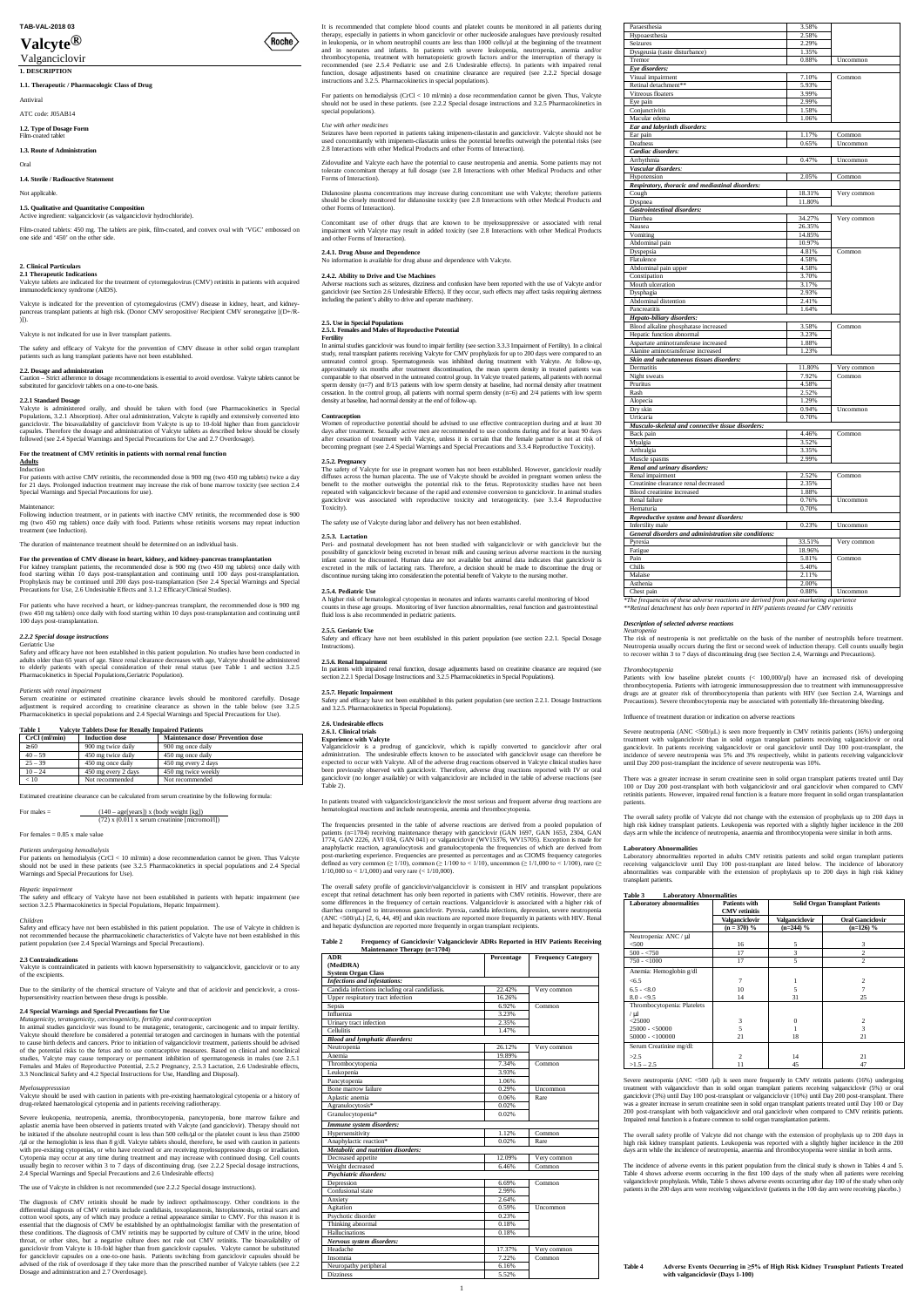# **Valcyte®** valcyce vert and the value of the value of the value of the value of the value of the value of the value of the v<br> **Value of the value of the value of the value of the value of the value of the value of the value of the va**

# **TAB-VAL-2018 03**

# **1. DESCRIPTION**<br> **1. DESCRIPTION**

**1.1. Therapeutic / Pharmacologic Class of Drug**

Antiviral

# ATC code: J05AB14

**1.2. Type of Dosage Form**

# Film-coated table

**1.3. Route of Administration**

# Oral

**1.4. Sterile / Radioactive Statement**

Not applicable.

Valcyte tablets are indicated for the treatment of cytomegalovirus (CMV) retinitis in patients with acquired ency syndrome (AIDS)

#### **1.5. Qualitative and Quantitative Composition** Active ingredient: valganciclovir (as valganciclovir hydrochloride).

Film-coated tablets: 450 mg. The tablets are pink, film-coated, and convex oval with 'VGC' embossed on one side and '450' on the other side.

#### **2. Clinical Particulars 2.1 Therapeutic Indications**

Valcyte is indicated for the prevention of cytomegalovirus (CMV) disease in kidney, heart, and kidney-pancreas transplant patients at high risk. (Donor CMV seropositive/ Recipient CMV seronegative [(D+/R- )]).

**2.2.1 Standard Dosage**<br>Valcyte is administered orally, and should be taken with food (see Pharmacokinetics in Special<br>Populations, 3.2.1 Absorption). After oral administration, Valcyte is rapidly and extensively converted ganciclovir. The bioavailability of ganciclovir from Valcyte is up to 10-fold higher than from ganciclovir capsules. Therefore the dosage and administration of Valcyte tablets as described below should be closely followed (see 2.4 Special Warnings and Special Precautions for Use and 2.7 Overdosage).

Valcyte is not indicated for use in liver transplant patients.

For patients with active CMV retinitis, the recommended dose is 900 mg (two 450 mg tablets) twice a day for 21 days. Prolonged induction treatment may increase the risk of bone marrow toxicity (see section 2.4 Special Warnings and Special Precautions for use).

Following induction treatment, or in patients with inactive CMV retinitis, the recommended dose is 900 Following induction treatment, or in patients with inactive CMV retinitis, the recommended dose is 900<br>mg (two 450 mg tablets) once daily with food. Patients whose retinitis worsens may repeat induction<br>treatment (see Indu

The safety and efficacy of Valcyte for the prevention of CMV disease in other solid organ transplant patients such as lung transplant patients have not been established.

# **2.2. Dosage and administration**

Caution – Strict adherence to dosage recommendations is essential to avoid overdose. Valcyte tablets cannot be substituted for ganciclovir tablets on a one-to-one basis.

For patients who have received a heart, or kidney-pancreas transplant, the recommended dose is 900 mg (two 450 mg tablets) once daily with food starting within 10 days post-transplantation and continuing until 100 days post-transplantation.

Safety and efficacy have not been established in this patient population. No studies have been conducted in Safety and efficacy have not been established in this patient population. No studies have been conducted in adults older than 65 years of age. Since renal clearance decreases with age, Valcyte should be administered to elderly patients with special consideration of their renal status (see Table 1 and section 3.2.5 Pharmacokinetics in Special Populations,Geriatric Population).

#### $Patients with renal impairmen$

# **For the treatment of CMV retinitis in patients with normal renal function**

#### **Adults**  Induction

Serum creatinine or estimated creatinine clearance levels should be monitored carefully. Dosage adjustment is required according to creatinine clearance as shown in the table below (see 3.2.5 Pharmacokinetics in special populations and 2.4 Special Warnings and Special Precautions for Use).

The safety and efficacy of Valcyte have not been established in patients with hepatic impairment (see section 3.2.5 Pharmacokinetics in Special Populations, Hepatic Impairment).

The duration of maintenance treatment should be determined on an individual basis.

# **For the prevention of CMV disease in heart, kidney, and kidney-pancreas transplantation**

For kidney transplant patients, the recommended dose is 900 mg (two 450 mg tablets) once daily with food starting within 10 days post-transplantation and continuing until 100 days post-transplantation.<br>Prophylaxis may be continued until 200 days post-transplantation (See 2.4 Special Warnings and Special<br>Precautions for U

*Mutagenicity, teratogenicity, carcinogenicity, fertility and contraception* In animal studies ganciclovir was found to be mutagenic, teratogenic, carcinogenic and to impair fertility. Valcyte should therefore be considered a potential teratogen and carcinogen in humans with the potential to cause birth defects and cancers. Prior to initiation of valganciclovir treatment, patients should be advised of the potential risks to the fetus and to use contraceptive measures. Based on clinical and nonclinical studies, Valcyte may cause temporary or permanent inhibition of spermatogenesis in males (see 2.5.1)<br>Females and Males of Reproductive Potential, 2.5.2 Pregnancy, 2.5.3 Lactation, 2.6 Undesirable effects,<br>3.3 Nonclinical S

#### *2.2.2 Special dosage instructions*

Geriatric Use

# **Table 1 Valcyte Tablets Dose for Renally Impaired Patients**

| $CrCl$ (ml/min) | <b>Induction dose</b> | <b>Maintenance dose/ Prevention dose</b> |
|-----------------|-----------------------|------------------------------------------|
| 360             | 900 mg twice daily    | 900 mg once daily                        |
| $40 - 59$       | 450 mg twice daily    | 450 mg once daily                        |
| $25 - 39$       | 450 mg once daily     | 450 mg every 2 days                      |
| $10 - 24$       | 450 mg every 2 days   | 450 mg twice weekly                      |
| < 10            | Not recommended       | Not recommended                          |

Estimated creatinine clearance can be calculated from serum creatinine by the following formula:

# For males =  $(140 - \text{age}[\text{years}]) \times (\text{body weight}[\text{kg}])$ <br> $(72) \times (0.011 \times \text{serum creation}[\text{micromol/l}])$

For females  $= 0.85$  x male value

### *Patients undergoing hemodialysis*

For patients on hemodialysis (CrCl < 10 ml/min) a dose recommendation cannot be given. Thus Valcyte should not be used in these patients (see 3.2.5 Pharmacokinetics in special populations and 2.4 Special Warnings and Special Precautions for Use).

#### *Hepatic impairment*

#### *Children*

Safety and efficacy have not been established in this patient population. The use of Valcyte in children is not recommended because the pharmacokinetic characteristics of Valcyte have not been established in this patient population (see 2.4 Special Warnings and Special Precautions).

#### **2.3 Contraindications**

Adverse reactions such as seizures, dizziness and confusion have been reported with the use of Valcyte and/or ganciclovir (see Section 2.6 Undesirable Effects). If they occur, such effects may affect tasks requiring alertness gand to via the patient's ability to drive and operate machinery.

Valcyte is contraindicated in patients with known hypersensitivity to valganciclovir, ganciclovir or to any of the excipients.

**Fertility** In animal studies ganciclovir was found to impair fertility (see section 3.3.3 Impairment of Fertility). In a clinical study, renal transplant patients receiving Valcyte for CMV prophylaxis for up to 200 days were compared to an<br>untreated control group. Spermatogenesis was inhibited during treatment with Valcyte. At follow-up,<br>approximatel comparable to that observed in the untreated control group. In Valcyte treated patients, all patients with normal sperm density (n=7) and 8/13 patients with low sperm density at baseline, had normal density after treatment cessation. In the control group, all patients with normal sperm density (n=6) and 2/4 patients with low sperm density at baseline, had normal density at the end of follow

Due to the similarity of the chemical structure of Valcyte and that of aciclovir and penciclovir, a crosshypersensitivity reaction between these drugs is possible.

### **2.4 Special Warnings and Special Precautions for Use**

Women of reproductive potential should be advised to use effective contraception during and at least 30<br>days after treatment. Sexually active men are recommended to use condoms during and for at least 90 days<br>after cessati becoming pregnant (see 2.4 Special Warnings and Special Precautions and 3.3.4 Reproductive Toxicity).

The safety of Valcyte for use in pregnant women has not been established. However, ganciclovir readily diffuses across the human placenta. The use of Valcyte should be avoided in pregnant women unless the diffuses across the human placenta. The use of Valcyte should be avoided in pregnant benefit to the mother outweighs the potential risk to the fetus. Reprotoxicity studies have not been repeated with valganciclovir because of the rapid and extensive conversion to ganciclovir. In animal studies ganciclovir was associated with reproductive toxicity and teratogenicity. (see 3.3.4 Reproductive Toxicity).

#### *Myelosuppresssion*

Valcyte should be used with caution in patients with pre-existing haematological cytopenia or a history of drug-related haematological cytopenia and in patients receiving radiotherapy.

Severe leukopenia, neutropenia, anemia, thrombocytopenia, pancytopenia, bone marrow failure and aplastic anemia have been observed in patients treated with Valcyte (and ganciclovir). Therapy should not be initiated if the absolute neutrophil count is less than 500 cells/ *or the platelet count is less than 25000* / $m$  or the hemoglobin is less than 8 g/dl. Valcyte tablets should, therefore, be used with caution in patients with pre-existing cytopenias, or who have received or are receiving myelosuppressive drugs or irradiation. Cytopenia may occur at any time during treatment and may increase with continued dosing. Cell counts ly begin to recover within 3 to 7 days of discontinuing drug. (see 2.2.2 Special dosage instructions, 2.4 Special Warnings and Special Precautions and 2.6 Undesirable effects)

In patients treated with valganciclovir/ganciclovir the most serious and frequent adverse drug reactions are atological reactions and include neutropenia, anemia and thrombocytopenia.

The use of Valcyte in children is not recommended (see 2.2.2 Special dosage instructions).

The frequencies presented in the table of adverse reactions are derived from a pooled population of<br>patients (n=1704) receiving maintenance therapy with ganciclovir (GAN 1697, GAN 1653, 2304, GAN<br>1774, GAN 2226, AVI 034, G anaphylactic reaction, agranulocytosis and granulocytopenia the frequencies of which are derived from<br>post-marketing experience. Frequencies are presented as percentages and as CIOMS frequency categories<br>defined as very c 1/10,000 to < 1/1,000) and very rare (< 1/10,000).

The diagnosis of CMV retinitis should be made by indirect opthalmoscopy. Other conditions in the differential diagnosis of CMV retinitis include candidiasis, toxoplasmosis, histoplasmosis, retinal scars and cotton wool spots, any of which may produce a retinal appearance similar to CMV. For this reason it is essential that the diagnosis of CMV be established by an ophthalmologist familiar with the presentation of these conditions. The diagnosis of CMV retinitis may be supported by culture of CMV in the urine, blood throat, or other sites, but a negative culture does not rule out CMV retinitis. The bioavailability of ganciclovir from Valcyte is 10-fold higher than from ganciclovir capsules. Valcyte cannot be substituted for ganciclovir capsules on a one-to-one basis. Patients switching from ganciclovir capsules should be advised of the risk of overdosage if they take more than the prescribed number of Valcyte tablets (see 2.2 Dosage and administration and 2.7 Overdosage).

It is recommended that complete blood counts and platelet counts be monitored in all patients during therapy, especially in patients in whom ganciclovir or other nucleoside analogues have previously resulted in leukopenia, or in whom neutrophil counts are less than 1000 cells/µl at the beginning of the treatment and in neonates and infants. In patients with severe leukopenia, neutropenia, anemia and/or thrombocytopenia, treatment with hematopoietic growth factors and/or the interruption of therapy is recommended (see 2.5.4 Pediatric use and 2.6 Undesirable effects). In patients with impaired renal function, dosage adjustments based on creatinine clearance are required (see 2.2.2 Special dosage instructions and 3.2.5. Pharmacokinetics in special populations).

For patients on hemodialysis (CrCl < 10 ml/min) a dose recommendation cannot be given. Thus, Valcyte should not be used in these patients. (see 2.2.2 Special dosage instructions and 3.2.5 Pharmacokinetics in special populations).

#### *Use with other medicines*

 $\big<$ Roche $\big>$ 

Seizures have been reported in patients taking imipenem-cilastatin and ganciclovir. Valcyte should not be<br>used concomitantly with imipenem-cilastatin unless the potential benefits outweigh the potential risks (see<br>2.8 Inte

Zidovudine and Valcyte each have the potential to cause neutropenia and anemia. Some patients may not tolerate concomitant therapy at full dosage (see 2.8 Interactions with other Medical Products and other Forms of Interaction).

> Severe neutropenia (ANC <500/μL) is seen more frequently in CMV retinitis patients (16%) undergoing treatment with valganciclovir than in solid organ transplant patients receiving valganciclovir or oral ganciclovir. In patients receiving valganciclovir or oral ganciclovir until Day 100 post-transplant, the incidence of severe neutropenia was 5% and 3% respectively, whilst in patients receiving valganciclovir<br>until Day 200 post-transplant the incidence of severe neutropenia was 10% until Day 200 post-transplant the incidence of severe neutropen

> There was a greater increase in serum creatinine seen in solid organ transplant patients treated until Day<br>100 or Day 200 post-transplant with both valganciclovir and oral ganciclovir when compared to CMV<br>retinitis patient patients

Didanosine plasma concentrations may increase during concomitant use with Valcyte; therefore patients should be closely monitored for didanosine toxicity (see 2.8 Interactions with other Medical Products and other Forms of Interaction).

Concomitant use of other drugs that are known to be myelosuppressive or associated with renal impairment with Valcyte may result in added toxicity (see 2.8 Interactions with other Medical Products and other Forms of Interaction).

**2.4.1. Drug Abuse and Dependence** No information is available for drug abuse and dependence with Valcyte.

# **2.4.2. Ability to Drive and Use Machines**

**2.5. Use in Special Populations 2.5.1. Females and Males of Reproductive Potential**

Severe neutropenia (ANC <500 /µl) is seen more frequently in CMV retinitis patients (16%) undergoing treatment with valganciclovir than in solid organ transplant patients receiving valganciclovir (5%) or oral ganciclovir (3%) until Day 100 post-transplant or valganciclovir (10%) until Day 200 post-transplant. There was a greater increase in serum creatinine seen in solid organ transplant patients treated until Day 100 or Day 200 post-transplant with both valganciclovir and oral ganciclovir when compared to CMV retinitis patients. Impaired renal function is a feature common to solid organ transplantation patients.

The incidence of adverse events in this patient population from the clinical study is shown in Tables 4 and 5 Table 4 shows adverse events occurring in the first 100 days of the study when all patients were receiving valganciclovir prophylaxis. While, Table 5 shows adverse events occurring after day 100 of the study when only patients in the 200 days arm were receiving valganciclovir (patients in the 100 day arm were receiving placebo.)

#### **Contraception**

### **2.5.2. Pregnancy**

The safety use of Valcyte during labor and delivery has not been established.

#### **2.5.3. Lactation**

Peri- and postnatal development has not been studied with valganciclovir or with ganciclovir but the possibility of ganciclovir being excreted in breast milk and causing serious adverse reactions in the nursing infant cannot be discounted. Human data are not available but animal data indicates that ganciclovir is excreted in the milk of lactating rats. Therefore, a decision should be made to discontinue the drug or discontinue nursing taking into consideration the potential benefit of Valcyte to the nursing mother.

#### **2.5.4. Pediatric Use**

A higher risk of hematological cytopenias in neonates and infants warrants careful monitoring of blood counts in these age groups. Monitoring of liver function abnormalities, renal function and gastrointestinal fluid loss is also recommended in pediatric patients.

#### **2.5.5. Geriatric Use**

Safety and efficacy have not been established in this patient population (see section 2.2.1. Special Dosage Instructions).

**2.5.6. Renal Impairment**<br>In patients with impaired renal function, dosage adjustments based on creatinine clearance are required (see<br>section 2.2.1 Special Dosage Instructions and 3.2.5 Pharmacokinetics in Special Populat

# **2.5.7. Hepatic Impairment**

Safety and efficacy have not been established in this patient population (see section 2.2.1. Dosage Instructions and 3.2.5. Pharmacokinetics in Special Populations).

# **2.6. Undesirable effects**

#### **2.6.1. Clinical trials Experience with Valcyte**

Valganciclovir is a prodrug of ganciclovir, which is rapidly converted to ganciclovir after oral administration. The undesirable effects known to be associated with ganciclovir usage can therefore be expected to occur with Valcyte. All of the adverse drug reactions observed in Valcyte clinical studies have been previously observed with ganciclovir. Therefore, adverse drug reactions reported with IV or oral ganciclovir (no longer available) or with valganciclovir are included in the table of adverse reactions (see Table 2).

The overall safety profile of ganciclovir/valganciclovir is consistent in HIV and transplant populations except that retinal detachment has only been reported in patients with CMV retinitis. However, there are some differences in the frequency of certain reactions. Valganciclovir is associated with a higher risk of diarrhea compared to intravenous ganciclovir. Pyrexia, candida infections, depression, severe (ANC <500/μL) [2, 6, 44, 49] and skin reactions are reported more frequently in patients with HIV. Renal and hepatic dysfunction are reported more frequently in organ transplant recipients.

### Frequency of Ganciclovir/ Valganciclovir ADRs Reported in HIV Patients Receiving

| Maintenance Therapy (n=1704) |            |                           |
|------------------------------|------------|---------------------------|
| ADR                          | Percentage | <b>Frequency Category</b> |
| (MedDRA)                     |            |                           |
| <b>System Organ Class</b>    |            |                           |
| Infections and infestations: |            |                           |

| Upper respiratory tract infection<br>16.26%<br>Sepsis<br>6.92%<br>Common<br>Influenza<br>3.23%<br>2.35%<br>Urinary tract infection<br>Cellulitis<br>1.47%<br><b>Blood and lymphatic disorders:</b><br>Neutropenia<br>26.12%<br>Very common<br>Anemia<br>19.89%<br>7.34%<br>Thrombocytopenia<br>Common<br>3.93%<br>Leukopenia<br>Pancytopenia<br>1.06%<br>Bone marrow failure<br>0.29%<br>Uncommon<br>Aplastic anemia<br>0.06%<br>Rare<br>Agranulocytosis*<br>0.02%<br>Granulocytopenia*<br>0.02%<br>Immune system disorders:<br>Hypersensitivity<br>1.12%<br>Common<br>Anaphylactic reaction*<br>0.02%<br>Rare<br>Metabolic and nutrition disorders:<br>Decreased appetite<br>12.09%<br>Very common<br>Weight decreased<br>6.46%<br>Common<br>Psychiatric disorders:<br>Depression<br>6.69%<br>Common<br>Confusional state<br>2.99%<br>2.64%<br>Anxiety<br>Agitation<br>0.59%<br>Uncommon<br>Psychotic disorder<br>0.23%<br>Thinking abnormal<br>0.18%<br>Hallucinations<br>0.18%<br>Nervous system disorders:<br>Headache<br>17.37%<br>Very common | Very common |
|-----------------------------------------------------------------------------------------------------------------------------------------------------------------------------------------------------------------------------------------------------------------------------------------------------------------------------------------------------------------------------------------------------------------------------------------------------------------------------------------------------------------------------------------------------------------------------------------------------------------------------------------------------------------------------------------------------------------------------------------------------------------------------------------------------------------------------------------------------------------------------------------------------------------------------------------------------------------------------------------------------------------------------------------------------|-------------|
|                                                                                                                                                                                                                                                                                                                                                                                                                                                                                                                                                                                                                                                                                                                                                                                                                                                                                                                                                                                                                                                     |             |
|                                                                                                                                                                                                                                                                                                                                                                                                                                                                                                                                                                                                                                                                                                                                                                                                                                                                                                                                                                                                                                                     |             |
|                                                                                                                                                                                                                                                                                                                                                                                                                                                                                                                                                                                                                                                                                                                                                                                                                                                                                                                                                                                                                                                     |             |
|                                                                                                                                                                                                                                                                                                                                                                                                                                                                                                                                                                                                                                                                                                                                                                                                                                                                                                                                                                                                                                                     |             |
|                                                                                                                                                                                                                                                                                                                                                                                                                                                                                                                                                                                                                                                                                                                                                                                                                                                                                                                                                                                                                                                     |             |
|                                                                                                                                                                                                                                                                                                                                                                                                                                                                                                                                                                                                                                                                                                                                                                                                                                                                                                                                                                                                                                                     |             |
|                                                                                                                                                                                                                                                                                                                                                                                                                                                                                                                                                                                                                                                                                                                                                                                                                                                                                                                                                                                                                                                     |             |
|                                                                                                                                                                                                                                                                                                                                                                                                                                                                                                                                                                                                                                                                                                                                                                                                                                                                                                                                                                                                                                                     |             |
|                                                                                                                                                                                                                                                                                                                                                                                                                                                                                                                                                                                                                                                                                                                                                                                                                                                                                                                                                                                                                                                     |             |
|                                                                                                                                                                                                                                                                                                                                                                                                                                                                                                                                                                                                                                                                                                                                                                                                                                                                                                                                                                                                                                                     |             |
|                                                                                                                                                                                                                                                                                                                                                                                                                                                                                                                                                                                                                                                                                                                                                                                                                                                                                                                                                                                                                                                     |             |
|                                                                                                                                                                                                                                                                                                                                                                                                                                                                                                                                                                                                                                                                                                                                                                                                                                                                                                                                                                                                                                                     |             |
|                                                                                                                                                                                                                                                                                                                                                                                                                                                                                                                                                                                                                                                                                                                                                                                                                                                                                                                                                                                                                                                     |             |
|                                                                                                                                                                                                                                                                                                                                                                                                                                                                                                                                                                                                                                                                                                                                                                                                                                                                                                                                                                                                                                                     |             |
|                                                                                                                                                                                                                                                                                                                                                                                                                                                                                                                                                                                                                                                                                                                                                                                                                                                                                                                                                                                                                                                     |             |
|                                                                                                                                                                                                                                                                                                                                                                                                                                                                                                                                                                                                                                                                                                                                                                                                                                                                                                                                                                                                                                                     |             |
|                                                                                                                                                                                                                                                                                                                                                                                                                                                                                                                                                                                                                                                                                                                                                                                                                                                                                                                                                                                                                                                     |             |
|                                                                                                                                                                                                                                                                                                                                                                                                                                                                                                                                                                                                                                                                                                                                                                                                                                                                                                                                                                                                                                                     |             |
|                                                                                                                                                                                                                                                                                                                                                                                                                                                                                                                                                                                                                                                                                                                                                                                                                                                                                                                                                                                                                                                     |             |
|                                                                                                                                                                                                                                                                                                                                                                                                                                                                                                                                                                                                                                                                                                                                                                                                                                                                                                                                                                                                                                                     |             |
|                                                                                                                                                                                                                                                                                                                                                                                                                                                                                                                                                                                                                                                                                                                                                                                                                                                                                                                                                                                                                                                     |             |
|                                                                                                                                                                                                                                                                                                                                                                                                                                                                                                                                                                                                                                                                                                                                                                                                                                                                                                                                                                                                                                                     |             |
|                                                                                                                                                                                                                                                                                                                                                                                                                                                                                                                                                                                                                                                                                                                                                                                                                                                                                                                                                                                                                                                     |             |
|                                                                                                                                                                                                                                                                                                                                                                                                                                                                                                                                                                                                                                                                                                                                                                                                                                                                                                                                                                                                                                                     |             |
|                                                                                                                                                                                                                                                                                                                                                                                                                                                                                                                                                                                                                                                                                                                                                                                                                                                                                                                                                                                                                                                     |             |
|                                                                                                                                                                                                                                                                                                                                                                                                                                                                                                                                                                                                                                                                                                                                                                                                                                                                                                                                                                                                                                                     |             |
|                                                                                                                                                                                                                                                                                                                                                                                                                                                                                                                                                                                                                                                                                                                                                                                                                                                                                                                                                                                                                                                     |             |
|                                                                                                                                                                                                                                                                                                                                                                                                                                                                                                                                                                                                                                                                                                                                                                                                                                                                                                                                                                                                                                                     |             |
|                                                                                                                                                                                                                                                                                                                                                                                                                                                                                                                                                                                                                                                                                                                                                                                                                                                                                                                                                                                                                                                     |             |
|                                                                                                                                                                                                                                                                                                                                                                                                                                                                                                                                                                                                                                                                                                                                                                                                                                                                                                                                                                                                                                                     |             |
|                                                                                                                                                                                                                                                                                                                                                                                                                                                                                                                                                                                                                                                                                                                                                                                                                                                                                                                                                                                                                                                     |             |
| Insomnia<br>7.22%<br>Common                                                                                                                                                                                                                                                                                                                                                                                                                                                                                                                                                                                                                                                                                                                                                                                                                                                                                                                                                                                                                         |             |
| Neuropathy peripheral<br>6.16%                                                                                                                                                                                                                                                                                                                                                                                                                                                                                                                                                                                                                                                                                                                                                                                                                                                                                                                                                                                                                      |             |
| <b>Dizziness</b><br>5.52%                                                                                                                                                                                                                                                                                                                                                                                                                                                                                                                                                                                                                                                                                                                                                                                                                                                                                                                                                                                                                           |             |

| Paraesthesia                                                                   | 3.58%          |             |
|--------------------------------------------------------------------------------|----------------|-------------|
| Hypoaesthesia                                                                  | 2.58%          |             |
| Seizures                                                                       | 2.29%          |             |
| Dysgeusia (taste disturbance)                                                  | 1.35%          |             |
| Tremor                                                                         | 0.88%          | Uncommon    |
| Eye disorders:                                                                 |                | Common      |
| Visual impairment<br>Retinal detachment**                                      | 7.10%          |             |
| Vitreous floaters                                                              | 5.93%<br>3.99% |             |
| Eye pain                                                                       | 2.99%          |             |
| Conjunctivitis                                                                 | 1.58%          |             |
| Macular edema                                                                  | 1.06%          |             |
| Ear and labyrinth disorders:                                                   |                |             |
| Ear pain                                                                       | 1.17%          | Common      |
| Deafness                                                                       | 0.65%          | Uncommon    |
| Cardiac disorders:                                                             |                |             |
| Arrhythmia                                                                     | 0.47%          | Uncommon    |
| Vascular disorders:                                                            |                |             |
| Hypotension                                                                    | 2.05%          | Common      |
| Respiratory, thoracic and mediastinal disorders:                               |                |             |
| Cough                                                                          | 18.31%         | Very common |
| Dyspnea                                                                        | 11.80%         |             |
| <b>Gastrointestinal disorders:</b>                                             |                |             |
| Diarrhea                                                                       | 34.27%         | Very common |
| Nausea                                                                         | 26.35%         |             |
| Vomiting                                                                       | 14.85%         |             |
| Abdominal pain                                                                 | 10.97%         |             |
| Dyspepsia                                                                      | 4.81%          | Common      |
| Flatulence                                                                     | 4.58%          |             |
| Abdominal pain upper                                                           | 4.58%          |             |
| Constipation<br>Mouth ulceration                                               | 3.70%          |             |
|                                                                                | 3.17%<br>2.93% |             |
| Dysphagia<br>Abdominal distention                                              | 2.41%          |             |
|                                                                                |                |             |
|                                                                                |                |             |
| Pancreatitis                                                                   | 1.64%          |             |
| Hepato-biliary disorders:                                                      |                |             |
| Blood alkaline phosphatase increased                                           | 3.58%          | Common      |
| Hepatic function abnormal                                                      | 3.23%          |             |
| Aspartate aminotransferase increased                                           | 1.88%<br>1.23% |             |
| Alanine aminotransferase increased<br>Skin and subcutaneous tissues disorders: |                |             |
| Dermatitis                                                                     | 11.80%         | Very common |
| Night sweats                                                                   | 7.92%          | Common      |
| Pruritus                                                                       | 4.58%          |             |
| Rash                                                                           | 2.52%          |             |
| Alopecia                                                                       | 1.29%          |             |
| Dry skin                                                                       | 0.94%          | Uncommon    |
| Urticaria                                                                      | 0.70%          |             |
| Musculo-skeletal and connective tissue disorders:                              |                |             |
| Back pain                                                                      | 4.46%          | Common      |
| Myalgia                                                                        | 3.52%          |             |
| Arthralgia                                                                     | 3.35%          |             |
| Muscle spasms                                                                  | 2.99%          |             |
| Renal and urinary disorders:                                                   |                |             |
| Renal impairment                                                               | 2.52%          | Common      |
| Creatinine clearance renal decreased                                           | 2.35%          |             |
| Blood creatinine increased                                                     | 1.88%          |             |
| Renal failure                                                                  | 0.76%          | Uncommon    |
| Hematuria                                                                      | 0.70%          |             |
| Reproductive system and breast disorders:                                      |                |             |
| Infertility male                                                               | 0.23%          | Uncommon    |
| General disorders and administration site conditions:<br>Pyrexia               | 33.51%         | Very common |
| Fatigue                                                                        | 18.96%         |             |
| Pain                                                                           | 5.81%          | Common      |
| Chills                                                                         | 5.40%          |             |
| Malaise                                                                        | 2.11%          |             |
| Asthenia<br>Chest pain                                                         | 2.00%<br>0.88% | Uncommon    |

*\*The frequencies of these adverse reactions are derived from post-marketing experience \*\*Retinal detachment has only been reported in HIV patients treated for CMV retinitis*

## *Description of selected adverse reactions*

*Neutropenia* The risk of neutropenia is not predictable on the basis of the number of neutrophils before treatment. Neutropenia usually occurs during the first or second week of induction therapy. Cell counts usually begin to recover within 3 to 7 days of discontinuing drug (see Section 2.4, Warnings and Precautions).

### *Thrombocytopenia*

Patients with low baseline platelet counts (< 100,000/µl) have an increased risk of developing thrombocytopenia. Patients with iatrogenic immunosuppression due to treatment with immunosuppressive drugs are at greater risk of thrombocytopenia than patients with HIV (see Section 2.4, Warnings and Precautions). Severe thrombocytopenia may be associated with potentially life-threatening bleeding.

Influence of treatment duration or indication on adverse reactions

The overall safety profile of Valcyte did not change with the extension of prophylaxis up to 200 days in high risk kidney transplant patients. Leukopenia was reported with a slightly higher incidence in the 200 days arm while the incidence of neutropenia, anaemia and thrombocytopenia were similar in both arms.

# **Laboratory Abnormalities**

Neutropenia: ANC / m<br><500

Laboratory abnormalities reported in adults CMV retinitis patients and solid organ transplant patients receiving valganciclovir until Day 100 post-tranplant are listed below. The incidence of laboratory abnormalities was comparable with the extension of prophylaxis up to 200 days in high risk kidney transplant patients.

#### **Table 3 Laboratory Abnormalities Laboratory abnormalities Patients with**

 $\frac{500 - 50}{750 - 500}$  17

**CMV retinitis**

 $\leq 500$  16 5 3

750 - <1000 17 17 5 2

 $\leq 6.5$  2

**Solid Organ Transplant Patients**

**Valganciclovir Valganciclovir Oral Ganciclovir (n = 370) % (n=244) % (n=126) %**

Anemia: Hemoglobin g/dl

| $6.5 - 8.0$                 |    |    |    |
|-----------------------------|----|----|----|
| $8.0 - 5.5$                 | 14 | 31 | 25 |
| Thrombocytopenia: Platelets |    |    |    |
| 'n                          |    |    |    |
| $<$ 25000                   |    |    |    |
| $25000 - 50000$             |    |    |    |
| $50000 - 100000$            |    | 18 |    |
| Serum Creatinine mg/dl:     |    |    |    |
| >2.5                        |    | 14 |    |
| $>1.5 - 2.5$                |    | 45 |    |

The overall safety profile of Valcyte did not change with the extension of prophylaxis up to 200 days in high risk kidney transplant patients. Leukopenia was reported with a slightly higher incidence in the 200 high risk kidney transplant patients. Leukopenia was reported with a slightly higher incidence in the 200 days arm while the incidence of neutropenia, anaemia and thrombocytopenia were similar in both arms.

**Table 4 Adverse Events Occurring in ≥5% of High Risk Kidney Transplant Patients Treated with valganciclovir (Days 1-100)**